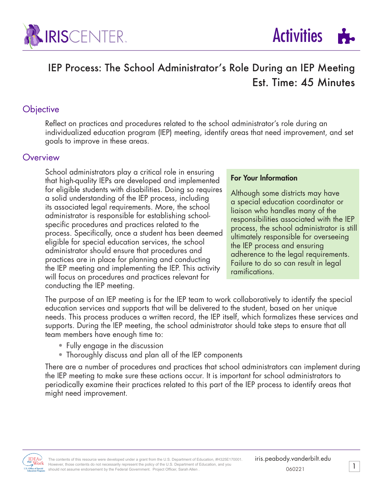



## IEP Process: The School Administrator's Role During an IEP Meeting Est. Time: 45 Minutes

### **Objective**

Reflect on practices and procedures related to the school administrator's role during an individualized education program (IEP) meeting, identify areas that need improvement, and set goals to improve in these areas.

#### **Overview**

School administrators play a critical role in ensuring that high-quality IEPs are developed and implemented for eligible students with disabilities. Doing so requires a solid understanding of the IEP process, including its associated legal requirements. More, the school administrator is responsible for establishing schoolspecific procedures and practices related to the process. Specifically, once a student has been deemed eligible for special education services, the school administrator should ensure that procedures and practices are in place for planning and conducting the IEP meeting and implementing the IEP. This activity will focus on procedures and practices relevant for conducting the IEP meeting.

#### For Your Information

Although some districts may have a special education coordinator or liaison who handles many of the responsibilities associated with the IEP process, the school administrator is still ultimately responsible for overseeing the IEP process and ensuring adherence to the legal requirements. Failure to do so can result in legal ramifications.

The purpose of an IEP meeting is for the IEP team to work collaboratively to identify the special education services and supports that will be delivered to the student, based on her unique needs. This process produces a written record, the IEP itself, which formalizes these services and supports. During the IEP meeting, the school administrator should take steps to ensure that all team members have enough time to:

- Fully engage in the discussion
- Thoroughly discuss and plan all of the IEP components

There are a number of procedures and practices that school administrators can implement during the IEP meeting to make sure these actions occur. It is important for school administrators to periodically examine their practices related to this part of the IEP process to identify areas that might need improvement.



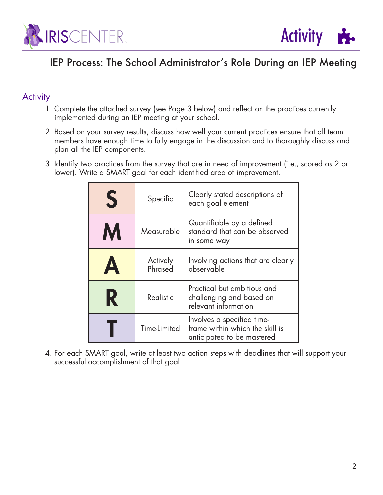



### **Activity**

- 1. Complete the attached survey (see Page 3 below) and reflect on the practices currently implemented during an IEP meeting at your school.
- 2. Based on your survey results, discuss how well your current practices ensure that all team members have enough time to fully engage in the discussion and to thoroughly discuss and plan all the IEP components.
- 3. Identify two practices from the survey that are in need of improvement (i.e., scored as 2 or lower). Write a SMART goal for each identified area of improvement.

| S                | Specific            | Clearly stated descriptions of<br>each goal element                                         |  |  |  |  |
|------------------|---------------------|---------------------------------------------------------------------------------------------|--|--|--|--|
| M                | Measurable          | Quantifiable by a defined<br>standard that can be observed<br>in some way                   |  |  |  |  |
| $\blacktriangle$ | Actively<br>Phrased | Involving actions that are clearly<br>observable                                            |  |  |  |  |
| R                | Realistic           | Practical but ambitious and<br>challenging and based on<br>relevant information             |  |  |  |  |
|                  | Time-Limited        | Involves a specified time-<br>frame within which the skill is<br>anticipated to be mastered |  |  |  |  |

4. For each SMART goal, write at least two action steps with deadlines that will support your successful accomplishment of that goal.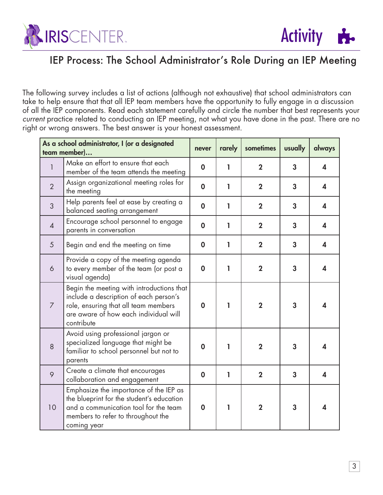



The following survey includes a list of actions (although not exhaustive) that school administrators can take to help ensure that that all IEP team members have the opportunity to fully engage in a discussion of all the IEP components. Read each statement carefully and circle the number that best represents your *current* practice related to conducting an IEP meeting, not what you have done in the past. There are no right or wrong answers. The best answer is your honest assessment.

| As a school administrator, I (or a designated<br>team member) |                                                                                                                                                                                    | never            | rarely | sometimes      | usually | always                 |
|---------------------------------------------------------------|------------------------------------------------------------------------------------------------------------------------------------------------------------------------------------|------------------|--------|----------------|---------|------------------------|
| 1                                                             | Make an effort to ensure that each<br>member of the team attends the meeting                                                                                                       | $\mathbf 0$      | L      | $\mathbf{2}$   | 3       | 4                      |
| $\overline{2}$                                                | Assign organizational meeting roles for<br>the meeting                                                                                                                             | $\boldsymbol{0}$ | L      | $\mathbf 2$    | 3       | 4                      |
| 3                                                             | Help parents feel at ease by creating a<br>balanced seating arrangement                                                                                                            | $\boldsymbol{0}$ | L      | $\overline{2}$ | 3       | 4                      |
| $\overline{4}$                                                | Encourage school personnel to engage<br>parents in conversation                                                                                                                    | $\mathbf 0$      | L      | $\overline{2}$ | 3       | $\boldsymbol{4}$       |
| 5                                                             | Begin and end the meeting on time                                                                                                                                                  | $\mathbf 0$      | L      | $\overline{2}$ | 3       | 4                      |
| 6                                                             | Provide a copy of the meeting agenda<br>to every member of the team (or post a<br>visual agenda)                                                                                   | $\mathbf 0$      | ı      | $\overline{2}$ | 3       | $\boldsymbol{\Lambda}$ |
| $\overline{7}$                                                | Begin the meeting with introductions that<br>include a description of each person's<br>role, ensuring that all team members<br>are aware of how each individual will<br>contribute | $\boldsymbol{0}$ | ı      | $\overline{2}$ | 3       | 4                      |
| 8                                                             | Avoid using professional jargon or<br>specialized language that might be<br>familiar to school personnel but not to<br>parents                                                     | $\mathbf 0$      | ı      | $\overline{2}$ | 3       | 4                      |
| 9                                                             | Create a climate that encourages<br>collaboration and engagement                                                                                                                   | $\mathbf 0$      | L      | $\overline{2}$ | 3       | 4                      |
| 10                                                            | Emphasize the importance of the IEP as<br>the blueprint for the student's education<br>and a communication tool for the team<br>members to refer to throughout the<br>coming year  | $\boldsymbol{0}$ | 1      | $\overline{2}$ | 3       | 4                      |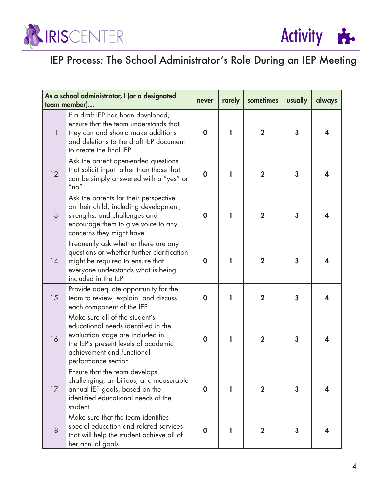



| As a school administrator, I (or a designated<br>team member) |                                                                                                                                                                                                        | never       | rarely | sometimes      | usually | always |
|---------------------------------------------------------------|--------------------------------------------------------------------------------------------------------------------------------------------------------------------------------------------------------|-------------|--------|----------------|---------|--------|
| 11                                                            | If a draft IEP has been developed,<br>ensure that the team understands that<br>they can and should make additions<br>and deletions to the draft IEP document<br>to create the final IEP                | $\mathbf 0$ | ı      | $\mathbf 2$    | 3       | 4      |
| 12                                                            | Ask the parent open-ended questions<br>that solicit input rather than those that<br>can be simply answered with a "yes" or<br>"no"                                                                     | $\mathbf 0$ | ı      | $\overline{2}$ | 3       |        |
| 13                                                            | Ask the parents for their perspective<br>on their child, including development,<br>strengths, and challenges and<br>encourage them to give voice to any<br>concerns they might have                    | $\mathbf 0$ | ı      | $\overline{2}$ | 3       |        |
| 14                                                            | Frequently ask whether there are any<br>questions or whether further clarification<br>might be required to ensure that<br>everyone understands what is being<br>included in the IEP                    | $\mathbf 0$ | ı      | $\overline{2}$ | 3       | 4      |
| 15                                                            | Provide adequate opportunity for the<br>team to review, explain, and discuss<br>each component of the IEP                                                                                              | $\mathbf 0$ | ı      | $\overline{2}$ | 3       | 4      |
| 16                                                            | Make sure all of the student's<br>educational needs identified in the<br>evaluation stage are included in<br>the IEP's present levels of academic<br>achievement and functional<br>performance section | $\mathbf 0$ | ı      | $\overline{2}$ | 3       | 4      |
| 17                                                            | Ensure that the team develops<br>challenging, ambitious, and measurable<br>annual IEP goals, based on the<br>identified educational needs of the<br>student                                            | $\mathbf 0$ | ı      | $\overline{2}$ | 3       | 4      |
| 18                                                            | Make sure that the team identifies<br>special education and related services<br>that will help the student achieve all of<br>her annual goals                                                          | $\mathbf 0$ | ı      | $\overline{2}$ | 3       |        |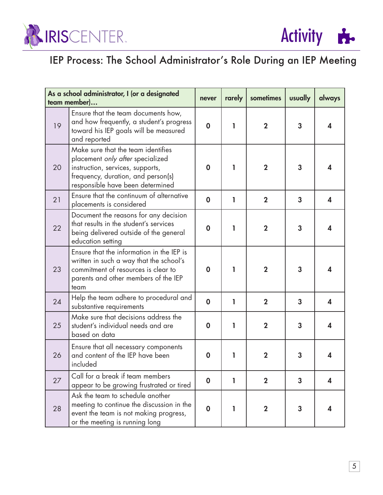



| As a school administrator, I (or a designated<br>team member) |                                                                                                                                                                                      | never       | rarely | sometimes      | usually | always |
|---------------------------------------------------------------|--------------------------------------------------------------------------------------------------------------------------------------------------------------------------------------|-------------|--------|----------------|---------|--------|
| 19                                                            | Ensure that the team documents how,<br>and how frequently, a student's progress<br>toward his IEP goals will be measured<br>and reported                                             | $\bf{0}$    | ı      | $\overline{2}$ | 3       |        |
| 20                                                            | Make sure that the team identifies<br>placement only after specialized<br>instruction, services, supports,<br>frequency, duration, and person(s)<br>responsible have been determined | $\mathbf 0$ | ı      | $\mathbf 2$    | 3       |        |
| 21                                                            | Ensure that the continuum of alternative<br>placements is considered                                                                                                                 | $\mathbf 0$ | 1      | $\overline{2}$ | 3       | 4      |
| 22                                                            | Document the reasons for any decision<br>that results in the student's services<br>being delivered outside of the general<br>education setting                                       | $\bf{0}$    | ı      | $\mathbf 2$    | 3       | 4      |
| 23                                                            | Ensure that the information in the IEP is<br>written in such a way that the school's<br>commitment of resources is clear to<br>parents and other members of the IEP<br>team          | $\mathbf 0$ | ı      | $\mathbf 2$    | 3       |        |
| 24                                                            | Help the team adhere to procedural and<br>substantive requirements                                                                                                                   | $\mathbf 0$ | ı      | $\overline{2}$ | 3       | 4      |
| 25                                                            | Make sure that decisions address the<br>student's individual needs and are<br>based on data                                                                                          | $\bf{0}$    | ı      | $\mathbf 2$    | 3       | 4      |
| 26                                                            | Ensure that all necessary components<br>and content of the IEP have been<br>included                                                                                                 | $\bf{0}$    | ı      | $\mathbf 2$    | 3       |        |
| 27                                                            | Call for a break if team members<br>appear to be growing frustrated or tired                                                                                                         | $\mathbf 0$ |        | $\overline{2}$ | 3       | 4      |
| 28                                                            | Ask the team to schedule another<br>meeting to continue the discussion in the<br>event the team is not making progress,<br>or the meeting is running long                            | $\bf{0}$    | ı      | $\mathbf 2$    | 3       |        |